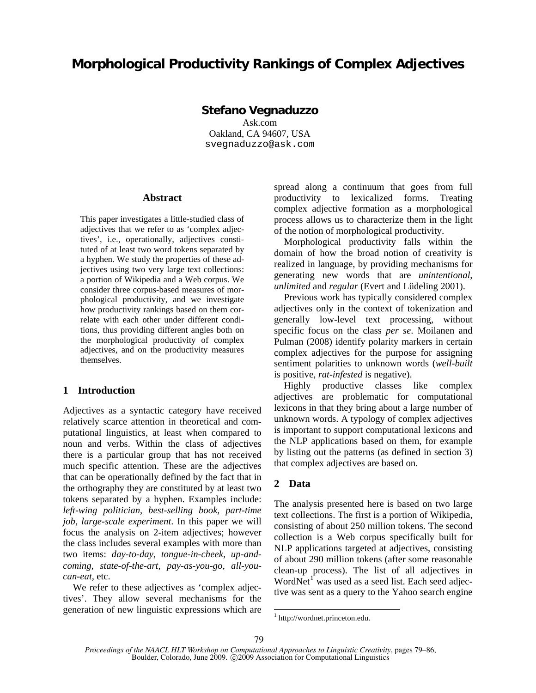# **Morphological Productivity Rankings of Complex Adjectives**

## **Stefano Vegnaduzzo**

Ask.com Oakland, CA 94607, USA svegnaduzzo@ask.com

#### **Abstract**

This paper investigates a little-studied class of adjectives that we refer to as 'complex adjectives', i.e., operationally, adjectives constituted of at least two word tokens separated by a hyphen. We study the properties of these adjectives using two very large text collections: a portion of Wikipedia and a Web corpus. We consider three corpus-based measures of morphological productivity, and we investigate how productivity rankings based on them correlate with each other under different conditions, thus providing different angles both on the morphological productivity of complex adjectives, and on the productivity measures themselves.

### **1 Introduction**

Adjectives as a syntactic category have received relatively scarce attention in theoretical and computational linguistics, at least when compared to noun and verbs. Within the class of adjectives there is a particular group that has not received much specific attention. These are the adjectives that can be operationally defined by the fact that in the orthography they are constituted by at least two tokens separated by a hyphen. Examples include: *left-wing politician*, *best-selling book*, *part-time job*, *large-scale experiment*. In this paper we will focus the analysis on 2-item adjectives; however the class includes several examples with more than two items: *day-to-day, tongue-in-cheek*, *up-andcoming, state-of-the-art, pay-as-you-go, all-youcan-eat,* etc.

We refer to these adjectives as 'complex adjectives'. They allow several mechanisms for the generation of new linguistic expressions which are spread along a continuum that goes from full productivity to lexicalized forms. Treating complex adjective formation as a morphological process allows us to characterize them in the light of the notion of morphological productivity.

Morphological productivity falls within the domain of how the broad notion of creativity is realized in language, by providing mechanisms for generating new words that are *unintentional*, *unlimited* and *regular* (Evert and Lüdeling 2001).

Previous work has typically considered complex adjectives only in the context of tokenization and generally low-level text processing, without specific focus on the class *per se*. Moilanen and Pulman (2008) identify polarity markers in certain complex adjectives for the purpose for assigning sentiment polarities to unknown words (*well-built* is positive, *rat-infested* is negative).

Highly productive classes like complex adjectives are problematic for computational lexicons in that they bring about a large number of unknown words. A typology of complex adjectives is important to support computational lexicons and the NLP applications based on them, for example by listing out the patterns (as defined in section 3) that complex adjectives are based on.

## **2 Data**

The analysis presented here is based on two large text collections. The first is a portion of Wikipedia, consisting of about 250 million tokens. The second collection is a Web corpus specifically built for NLP applications targeted at adjectives, consisting of about 290 million tokens (after some reasonable clean-up process). The list of all adjectives in WordNet $^{1}$  was used as a seed list. Each seed adjective was sent as a query to the Yahoo search engine

 $\overline{a}$ 

<sup>1</sup> http://wordnet.princeton.edu.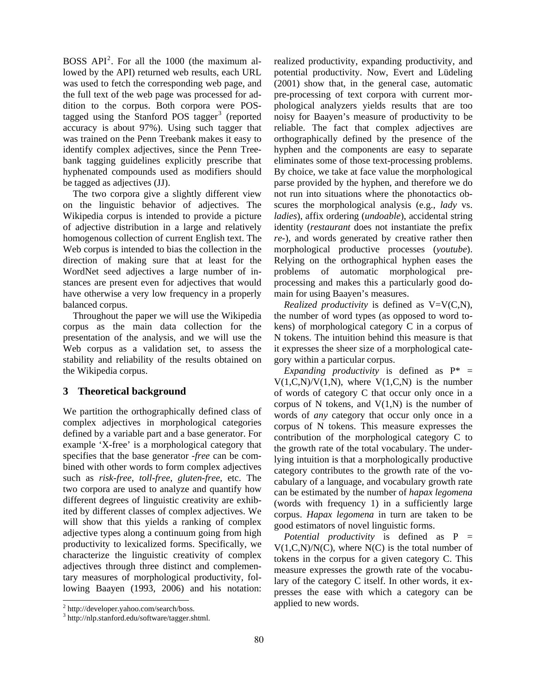BOSS  $API<sup>2</sup>$ . For all the 1000 (the maximum allowed by the API) returned web results, each URL was used to fetch the corresponding web page, and the full text of the web page was processed for addition to the corpus. Both corpora were POStagged using the Stanford POS tagger<sup>3</sup> (reported accuracy is about 97%). Using such tagger that was trained on the Penn Treebank makes it easy to identify complex adjectives, since the Penn Treebank tagging guidelines explicitly prescribe that hyphenated compounds used as modifiers should be tagged as adjectives (JJ).

The two corpora give a slightly different view on the linguistic behavior of adjectives. The Wikipedia corpus is intended to provide a picture of adjective distribution in a large and relatively homogenous collection of current English text. The Web corpus is intended to bias the collection in the direction of making sure that at least for the WordNet seed adjectives a large number of instances are present even for adjectives that would have otherwise a very low frequency in a properly balanced corpus.

Throughout the paper we will use the Wikipedia corpus as the main data collection for the presentation of the analysis, and we will use the Web corpus as a validation set, to assess the stability and reliability of the results obtained on the Wikipedia corpus.

# **3 Theoretical background**

We partition the orthographically defined class of complex adjectives in morphological categories defined by a variable part and a base generator. For example 'X-free' is a morphological category that specifies that the base generator -*free* can be combined with other words to form complex adjectives such as *risk-free*, *toll-free*, *gluten-free*, etc. The two corpora are used to analyze and quantify how different degrees of linguistic creativity are exhibited by different classes of complex adjectives. We will show that this yields a ranking of complex adjective types along a continuum going from high productivity to lexicalized forms. Specifically, we characterize the linguistic creativity of complex adjectives through three distinct and complementary measures of morphological productivity, following Baayen (1993, 2006) and his notation:

 $\overline{a}$ 

realized productivity, expanding productivity, and potential productivity. Now, Evert and Lüdeling (2001) show that, in the general case, automatic pre-processing of text corpora with current morphological analyzers yields results that are too noisy for Baayen's measure of productivity to be reliable. The fact that complex adjectives are orthographically defined by the presence of the hyphen and the components are easy to separate eliminates some of those text-processing problems. By choice, we take at face value the morphological parse provided by the hyphen, and therefore we do not run into situations where the phonotactics obscures the morphological analysis (e.g., *lady* vs. *ladies*), affix ordering (*undoable*), accidental string identity (*restaurant* does not instantiate the prefix *re-*), and words generated by creative rather then morphological productive processes (*youtube*). Relying on the orthographical hyphen eases the problems of automatic morphological preprocessing and makes this a particularly good domain for using Baayen's measures.

*Realized productivity* is defined as V=V(C,N), the number of word types (as opposed to word tokens) of morphological category C in a corpus of N tokens. The intuition behind this measure is that it expresses the sheer size of a morphological category within a particular corpus.

*Expanding productivity* is defined as  $P^* =$  $V(1,C,N)/V(1,N)$ , where  $V(1,C,N)$  is the number of words of category C that occur only once in a corpus of N tokens, and  $V(1,N)$  is the number of words of *any* category that occur only once in a corpus of N tokens. This measure expresses the contribution of the morphological category C to the growth rate of the total vocabulary. The underlying intuition is that a morphologically productive category contributes to the growth rate of the vocabulary of a language, and vocabulary growth rate can be estimated by the number of *hapax legomena*  (words with frequency 1) in a sufficiently large corpus. *Hapax legomena* in turn are taken to be good estimators of novel linguistic forms.

*Potential productivity* is defined as P =  $V(1,C,N)/N(C)$ , where  $N(C)$  is the total number of tokens in the corpus for a given category C. This measure expresses the growth rate of the vocabulary of the category C itself. In other words, it expresses the ease with which a category can be applied to new words.

<sup>&</sup>lt;sup>2</sup> http://developer.yahoo.com/search/boss.

<sup>3</sup> http://nlp.stanford.edu/software/tagger.shtml.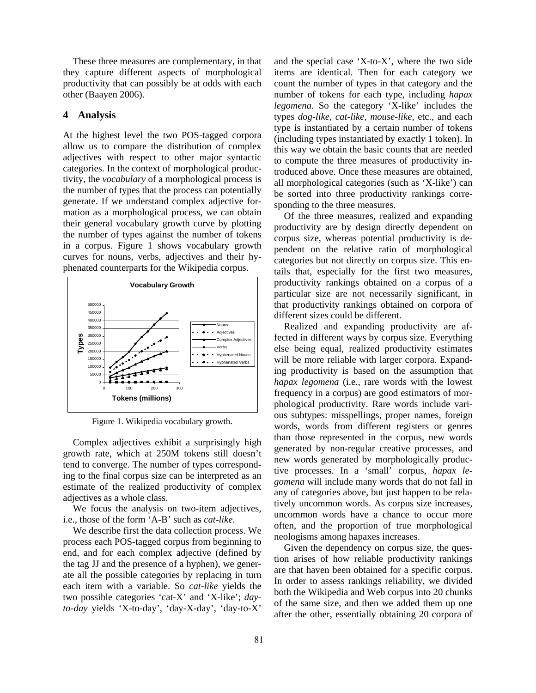These three measures are complementary, in that they capture different aspects of morphological productivity that can possibly be at odds with each other (Baayen 2006).

#### **4 Analysis**

At the highest level the two POS-tagged corpora allow us to compare the distribution of complex adjectives with respect to other major syntactic categories. In the context of morphological productivity, the *vocabulary* of a morphological process is the number of types that the process can potentially generate. If we understand complex adjective formation as a morphological process, we can obtain their general vocabulary growth curve by plotting the number of types against the number of tokens in a corpus. Figure 1 shows vocabulary growth curves for nouns, verbs, adjectives and their hyphenated counterparts for the Wikipedia corpus.



Figure 1. Wikipedia vocabulary growth.

Complex adjectives exhibit a surprisingly high growth rate, which at 250M tokens still doesn't tend to converge. The number of types corresponding to the final corpus size can be interpreted as an estimate of the realized productivity of complex adjectives as a whole class.

We focus the analysis on two-item adjectives, i.e., those of the form 'A-B' such as *cat-like*.

We describe first the data collection process. We process each POS-tagged corpus from beginning to end, and for each complex adjective (defined by the tag JJ and the presence of a hyphen), we generate all the possible categories by replacing in turn each item with a variable. So *cat-like* yields the two possible categories 'cat-X' and 'X-like'; *dayto-day* yields 'X-to-day', 'day-X-day', 'day-to-X'

and the special case 'X-to-X', where the two side items are identical. Then for each category we count the number of types in that category and the number of tokens for each type, including *hapax legomena.* So the category 'X-like' includes the types *dog-like, cat-like, mouse-like,* etc., and each type is instantiated by a certain number of tokens (including types instantiated by exactly 1 token). In this way we obtain the basic counts that are needed to compute the three measures of productivity introduced above. Once these measures are obtained, all morphological categories (such as 'X-like') can be sorted into three productivity rankings corresponding to the three measures.

Of the three measures, realized and expanding productivity are by design directly dependent on corpus size, whereas potential productivity is dependent on the relative ratio of morphological categories but not directly on corpus size. This entails that, especially for the first two measures, productivity rankings obtained on a corpus of a particular size are not necessarily significant, in that productivity rankings obtained on corpora of different sizes could be different.

Realized and expanding productivity are affected in different ways by corpus size. Everything else being equal, realized productivity estimates will be more reliable with larger corpora. Expanding productivity is based on the assumption that *hapax legomena* (i.e., rare words with the lowest frequency in a corpus) are good estimators of morphological productivity. Rare words include various subtypes: misspellings, proper names, foreign words, words from different registers or genres than those represented in the corpus, new words generated by non-regular creative processes, and new words generated by morphologically productive processes. In a 'small' corpus, *hapax legomena* will include many words that do not fall in any of categories above, but just happen to be relatively uncommon words. As corpus size increases, uncommon words have a chance to occur more often, and the proportion of true morphological neologisms among hapaxes increases.

Given the dependency on corpus size, the question arises of how reliable productivity rankings are that haven been obtained for a specific corpus. In order to assess rankings reliability, we divided both the Wikipedia and Web corpus into 20 chunks of the same size, and then we added them up one after the other, essentially obtaining 20 corpora of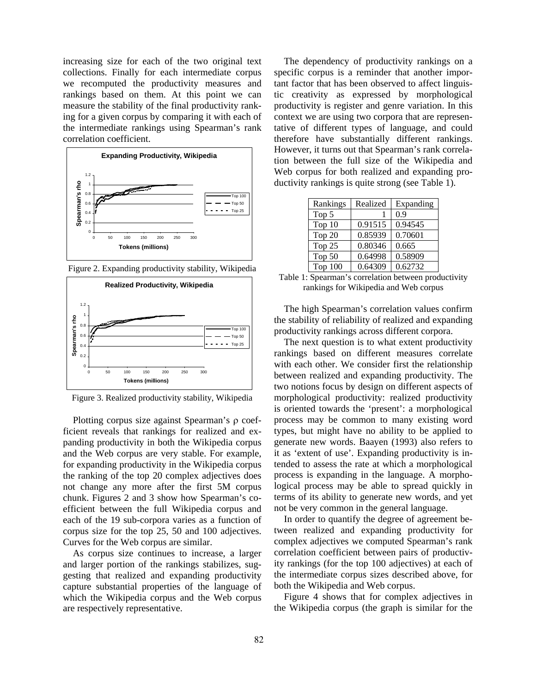increasing size for each of the two original text collections. Finally for each intermediate corpus we recomputed the productivity measures and rankings based on them. At this point we can measure the stability of the final productivity ranking for a given corpus by comparing it with each of the intermediate rankings using Spearman's rank correlation coefficient.



Figure 2. Expanding productivity stability, Wikipedia



Figure 3. Realized productivity stability, Wikipedia

Plotting corpus size against Spearman's ρ coefficient reveals that rankings for realized and expanding productivity in both the Wikipedia corpus and the Web corpus are very stable. For example, for expanding productivity in the Wikipedia corpus the ranking of the top 20 complex adjectives does not change any more after the first 5M corpus chunk. Figures 2 and 3 show how Spearman's coefficient between the full Wikipedia corpus and each of the 19 sub-corpora varies as a function of corpus size for the top 25, 50 and 100 adjectives. Curves for the Web corpus are similar.

As corpus size continues to increase, a larger and larger portion of the rankings stabilizes, suggesting that realized and expanding productivity capture substantial properties of the language of which the Wikipedia corpus and the Web corpus are respectively representative.

The dependency of productivity rankings on a specific corpus is a reminder that another important factor that has been observed to affect linguistic creativity as expressed by morphological productivity is register and genre variation. In this context we are using two corpora that are representative of different types of language, and could therefore have substantially different rankings. However, it turns out that Spearman's rank correlation between the full size of the Wikipedia and Web corpus for both realized and expanding productivity rankings is quite strong (see Table 1).

| Rankings          | Realized | Expanding |
|-------------------|----------|-----------|
| Top 5             |          | 0.9       |
| Top <sub>10</sub> | 0.91515  | 0.94545   |
| Top 20            | 0.85939  | 0.70601   |
| Top 25            | 0.80346  | 0.665     |
| Top 50            | 0.64998  | 0.58909   |
| Top $100$         | 0.64309  | 0.62732   |

Table 1: Spearman's correlation between productivity rankings for Wikipedia and Web corpus

The high Spearman's correlation values confirm the stability of reliability of realized and expanding productivity rankings across different corpora.

The next question is to what extent productivity rankings based on different measures correlate with each other. We consider first the relationship between realized and expanding productivity. The two notions focus by design on different aspects of morphological productivity: realized productivity is oriented towards the 'present': a morphological process may be common to many existing word types, but might have no ability to be applied to generate new words. Baayen (1993) also refers to it as 'extent of use'. Expanding productivity is intended to assess the rate at which a morphological process is expanding in the language. A morphological process may be able to spread quickly in terms of its ability to generate new words, and yet not be very common in the general language.

In order to quantify the degree of agreement between realized and expanding productivity for complex adjectives we computed Spearman's rank correlation coefficient between pairs of productivity rankings (for the top 100 adjectives) at each of the intermediate corpus sizes described above, for both the Wikipedia and Web corpus.

Figure 4 shows that for complex adjectives in the Wikipedia corpus (the graph is similar for the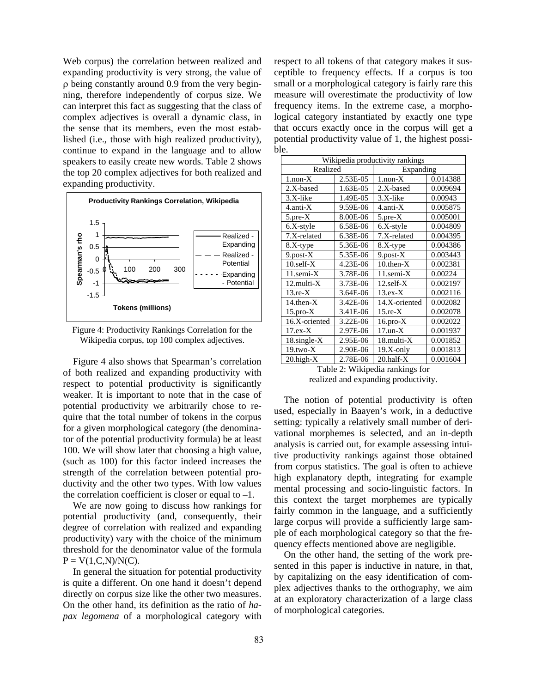Web corpus) the correlation between realized and expanding productivity is very strong, the value of ρ being constantly around 0.9 from the very beginning, therefore independently of corpus size. We can interpret this fact as suggesting that the class of complex adjectives is overall a dynamic class, in the sense that its members, even the most established (i.e., those with high realized productivity), continue to expand in the language and to allow speakers to easily create new words. Table 2 shows the top 20 complex adjectives for both realized and expanding productivity.



Figure 4: Productivity Rankings Correlation for the Wikipedia corpus, top 100 complex adjectives.

Figure 4 also shows that Spearman's correlation of both realized and expanding productivity with respect to potential productivity is significantly weaker. It is important to note that in the case of potential productivity we arbitrarily chose to require that the total number of tokens in the corpus for a given morphological category (the denominator of the potential productivity formula) be at least 100. We will show later that choosing a high value, (such as 100) for this factor indeed increases the strength of the correlation between potential productivity and the other two types. With low values the correlation coefficient is closer or equal to  $-1$ .

We are now going to discuss how rankings for potential productivity (and, consequently, their degree of correlation with realized and expanding productivity) vary with the choice of the minimum threshold for the denominator value of the formula  $P = V(1, C, N)/N(C)$ .

In general the situation for potential productivity is quite a different. On one hand it doesn't depend directly on corpus size like the other two measures. On the other hand, its definition as the ratio of *hapax legomena* of a morphological category with respect to all tokens of that category makes it susceptible to frequency effects. If a corpus is too small or a morphological category is fairly rare this measure will overestimate the productivity of low frequency items. In the extreme case, a morphological category instantiated by exactly one type that occurs exactly once in the corpus will get a potential productivity value of 1, the highest possible.

| Wikipedia productivity rankings |          |                 |          |  |  |  |
|---------------------------------|----------|-----------------|----------|--|--|--|
| Realized                        |          | Expanding       |          |  |  |  |
| $1$ .non- $X$                   | 2.53E-05 | $1$ .non- $X$   | 0.014388 |  |  |  |
| 2.X-based                       | 1.63E-05 | $2.X$ -based    | 0.009694 |  |  |  |
| 3.X-like                        | 1.49E-05 | 3.X-like        | 0.00943  |  |  |  |
| $4$ .anti- $X$                  | 9.59E-06 | $4.$ anti- $X$  | 0.005875 |  |  |  |
| $5.$ pre- $X$                   | 8.00E-06 | $5.$ pre- $X$   | 0.005001 |  |  |  |
| 6.X-style                       | 6.58E-06 | 6.X-style       | 0.004809 |  |  |  |
| 7.X-related                     | 6.38E-06 | 7.X-related     | 0.004395 |  |  |  |
| 8.X-type                        | 5.36E-06 | 8.X-type        | 0.004386 |  |  |  |
| $9.$ post- $X$                  | 5.35E-06 | $9.$ post- $X$  | 0.003443 |  |  |  |
| $10$ .self- $X$                 | 4.23E-06 | $10.$ then- $X$ | 0.002381 |  |  |  |
| $11$ .semi- $X$                 | 3.78E-06 | 11.semi-X       | 0.00224  |  |  |  |
| $12$ .multi- $X$                | 3.73E-06 | $12$ .self- $X$ | 0.002197 |  |  |  |
| $13 \text{.e-}X$                | 3.64E-06 | $13.ex-X$       | 0.002116 |  |  |  |
| $14.$ then- $X$                 | 3.42E-06 | 14.X-oriented   | 0.002082 |  |  |  |
| $15$ .pro- $X$                  | 3.41E-06 | $15$ .re- $X$   | 0.002078 |  |  |  |
| 16.X-oriented                   | 3.22E-06 | $16$ .pro- $X$  | 0.002022 |  |  |  |
| $17.ex-X$                       | 2.97E-06 | $17.$ un- $X$   | 0.001937 |  |  |  |
| 18.single-X                     | 2.95E-06 | 18.multi-X      | 0.001852 |  |  |  |
| $19.two-X$                      | 2.90E-06 | $19.X-only$     | 0.001813 |  |  |  |
| $20.$ high- $X$                 | 2.78E-06 | $20$ .half- $X$ | 0.001604 |  |  |  |

Table 2: Wikipedia rankings for realized and expanding productivity.

The notion of potential productivity is often used, especially in Baayen's work, in a deductive setting: typically a relatively small number of derivational morphemes is selected, and an in-depth analysis is carried out, for example assessing intuitive productivity rankings against those obtained from corpus statistics. The goal is often to achieve high explanatory depth, integrating for example mental processing and socio-linguistic factors. In this context the target morphemes are typically fairly common in the language, and a sufficiently large corpus will provide a sufficiently large sample of each morphological category so that the frequency effects mentioned above are negligible.

On the other hand, the setting of the work presented in this paper is inductive in nature, in that, by capitalizing on the easy identification of complex adjectives thanks to the orthography, we aim at an exploratory characterization of a large class of morphological categories.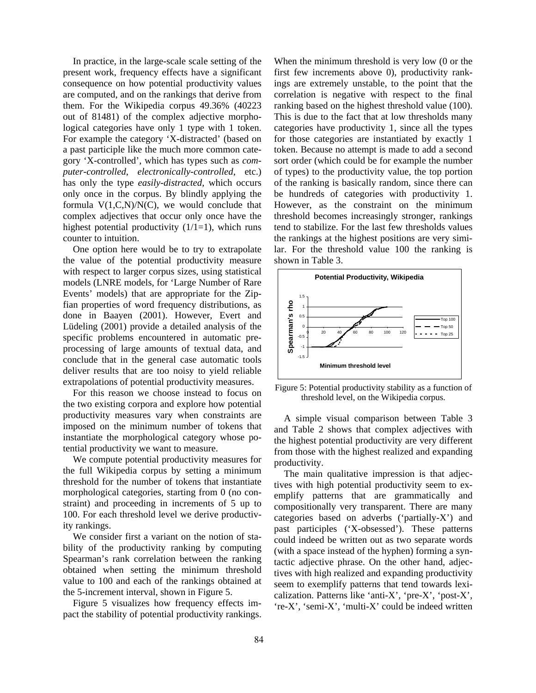In practice, in the large-scale scale setting of the present work, frequency effects have a significant consequence on how potential productivity values are computed, and on the rankings that derive from them. For the Wikipedia corpus 49.36% (40223 out of 81481) of the complex adjective morphological categories have only 1 type with 1 token. For example the category 'X-distracted' (based on a past participle like the much more common category 'X-controlled', which has types such as *computer-controlled*, *electronically-controlled*, etc.) has only the type *easily-distracted*, which occurs only once in the corpus. By blindly applying the formula  $V(1, C, N)/N(C)$ , we would conclude that complex adjectives that occur only once have the highest potential productivity  $(1/1=1)$ , which runs counter to intuition.

One option here would be to try to extrapolate the value of the potential productivity measure with respect to larger corpus sizes, using statistical models (LNRE models, for 'Large Number of Rare Events' models) that are appropriate for the Zipfian properties of word frequency distributions, as done in Baayen (2001). However, Evert and Lüdeling (2001) provide a detailed analysis of the specific problems encountered in automatic preprocessing of large amounts of textual data, and conclude that in the general case automatic tools deliver results that are too noisy to yield reliable extrapolations of potential productivity measures.

For this reason we choose instead to focus on the two existing corpora and explore how potential productivity measures vary when constraints are imposed on the minimum number of tokens that instantiate the morphological category whose potential productivity we want to measure.

We compute potential productivity measures for the full Wikipedia corpus by setting a minimum threshold for the number of tokens that instantiate morphological categories, starting from 0 (no constraint) and proceeding in increments of 5 up to 100. For each threshold level we derive productivity rankings.

We consider first a variant on the notion of stability of the productivity ranking by computing Spearman's rank correlation between the ranking obtained when setting the minimum threshold value to 100 and each of the rankings obtained at the 5-increment interval, shown in Figure 5.

Figure 5 visualizes how frequency effects impact the stability of potential productivity rankings. When the minimum threshold is very low (0 or the first few increments above 0), productivity rankings are extremely unstable, to the point that the correlation is negative with respect to the final ranking based on the highest threshold value (100). This is due to the fact that at low thresholds many categories have productivity 1, since all the types for those categories are instantiated by exactly 1 token. Because no attempt is made to add a second sort order (which could be for example the number of types) to the productivity value, the top portion of the ranking is basically random, since there can be hundreds of categories with productivity 1. However, as the constraint on the minimum threshold becomes increasingly stronger, rankings tend to stabilize. For the last few thresholds values the rankings at the highest positions are very similar. For the threshold value 100 the ranking is shown in Table 3.



Figure 5: Potential productivity stability as a function of threshold level, on the Wikipedia corpus.

A simple visual comparison between Table 3 and Table 2 shows that complex adjectives with the highest potential productivity are very different from those with the highest realized and expanding productivity.

The main qualitative impression is that adjectives with high potential productivity seem to exemplify patterns that are grammatically and compositionally very transparent. There are many categories based on adverbs ('partially-X') and past participles ('X-obsessed'). These patterns could indeed be written out as two separate words (with a space instead of the hyphen) forming a syntactic adjective phrase. On the other hand, adjectives with high realized and expanding productivity seem to exemplify patterns that tend towards lexicalization. Patterns like 'anti-X', 'pre-X', 'post-X', 're-X', 'semi-X', 'multi-X' could be indeed written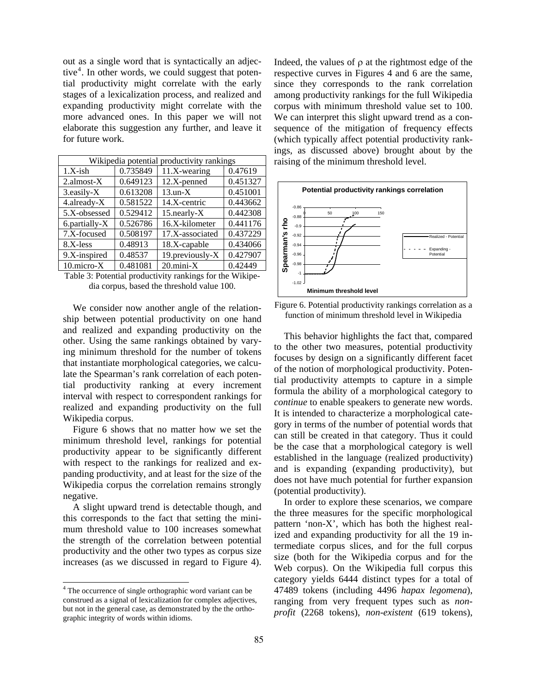out as a single word that is syntactically an adjective<sup>4</sup>. In other words, we could suggest that potential productivity might correlate with the early stages of a lexicalization process, and realized and expanding productivity might correlate with the more advanced ones. In this paper we will not elaborate this suggestion any further, and leave it for future work.

| Wikipedia potential productivity rankings |          |                   |          |  |  |
|-------------------------------------------|----------|-------------------|----------|--|--|
| $1.X$ -ish                                | 0.735849 | $11.X$ -wearing   | 0.47619  |  |  |
| $2.$ almost- $X$                          | 0.649123 | 12.X-penned       | 0.451327 |  |  |
| 3.easily-X                                | 0.613208 | $13.$ un- $X$     | 0.451001 |  |  |
| 4.already-X                               | 0.581522 | 14.X-centric      | 0.443662 |  |  |
| 5.X-obsessed                              | 0.529412 | $15$ .nearly- $X$ | 0.442308 |  |  |
| 6.partially-X                             | 0.526786 | 16.X-kilometer    | 0.441176 |  |  |
| 7.X-focused                               | 0.508197 | 17.X-associated   | 0.437229 |  |  |
| 8.X-less                                  | 0.48913  | 18.X-capable      | 0.434066 |  |  |
| 9.X-inspired                              | 0.48537  | 19.previously-X   | 0.427907 |  |  |
| $10$ .micro- $X$                          | 0.481081 | $20$ .mini- $X$   | 0.42449  |  |  |

Table 3: Potential productivity rankings for the Wikipedia corpus, based the threshold value 100.

We consider now another angle of the relationship between potential productivity on one hand and realized and expanding productivity on the other. Using the same rankings obtained by varying minimum threshold for the number of tokens that instantiate morphological categories, we calculate the Spearman's rank correlation of each potential productivity ranking at every increment interval with respect to correspondent rankings for realized and expanding productivity on the full Wikipedia corpus.

Figure 6 shows that no matter how we set the minimum threshold level, rankings for potential productivity appear to be significantly different with respect to the rankings for realized and expanding productivity, and at least for the size of the Wikipedia corpus the correlation remains strongly negative.

A slight upward trend is detectable though, and this corresponds to the fact that setting the minimum threshold value to 100 increases somewhat the strength of the correlation between potential productivity and the other two types as corpus size increases (as we discussed in regard to Figure 4).

 $\overline{a}$ 

Indeed, the values of  $\rho$  at the rightmost edge of the respective curves in Figures 4 and 6 are the same, since they corresponds to the rank correlation among productivity rankings for the full Wikipedia corpus with minimum threshold value set to 100. We can interpret this slight upward trend as a consequence of the mitigation of frequency effects (which typically affect potential productivity rankings, as discussed above) brought about by the raising of the minimum threshold level.





This behavior highlights the fact that, compared to the other two measures, potential productivity focuses by design on a significantly different facet of the notion of morphological productivity. Potential productivity attempts to capture in a simple formula the ability of a morphological category to *continue* to enable speakers to generate new words. It is intended to characterize a morphological category in terms of the number of potential words that can still be created in that category. Thus it could be the case that a morphological category is well established in the language (realized productivity) and is expanding (expanding productivity), but does not have much potential for further expansion (potential productivity).

In order to explore these scenarios, we compare the three measures for the specific morphological pattern 'non-X', which has both the highest realized and expanding productivity for all the 19 intermediate corpus slices, and for the full corpus size (both for the Wikipedia corpus and for the Web corpus). On the Wikipedia full corpus this category yields 6444 distinct types for a total of 47489 tokens (including 4496 *hapax legomena*), ranging from very frequent types such as *nonprofit* (2268 tokens), *non-existent* (619 tokens),

<sup>&</sup>lt;sup>4</sup> The occurrence of single orthographic word variant can be construed as a signal of lexicalization for complex adjectives, but not in the general case, as demonstrated by the the orthographic integrity of words within idioms.